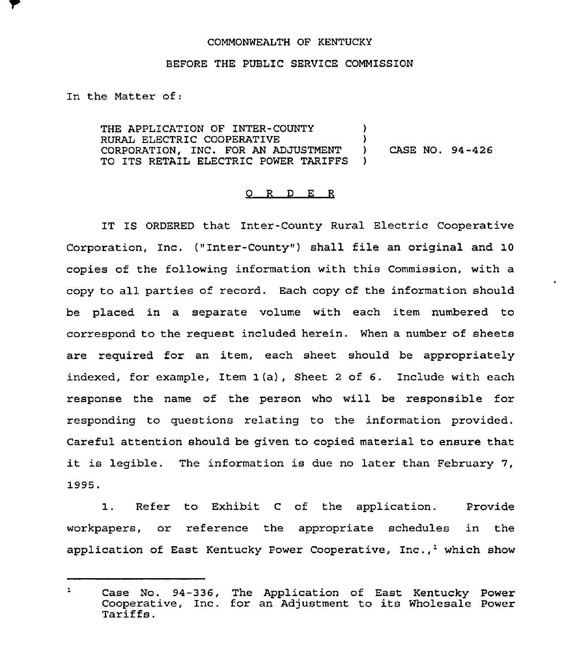## COMMONWEALTH OF KENTUCKY

## BEFORE THE PUBLIC SERVICE COMMISSION

In the Matter of:

THE APPLICATION OF INTER-COUNTY  $)$ RURAL ELECTRIC COOPERATIVE )<br>CORPORATION. INC. FOR AN ADJUSTMENT ) CORPORATION, INC. FOR AN ADJUSTMENT ) CASE NO. 94-426 TO ITS RETAIL ELECTRIC POWER TARIFFS

## 0 R <sup>D</sup> E <sup>R</sup>

IT IS ORDERED that Inter-County Rural Electric Cooperative Corporation, Inc. ("Inter-County" ) shall file an original and 10 copies of the following information with this Commission, with a copy to all parties of record. Each copy of the information should be placed in a separate volume with each item numbered to correspond to the request included herein. When a number of sheets are required for an item, each sheet should be appropriately indexed, for example, Item 1(a), Sheet <sup>2</sup> of 6. Include with each response the name of the person who will be responsible for responding to questions relating to the information provided. Careful attention should be given to copied material to ensure that it is legible. The information is due no later than February 7, 1995.

1. Refer to Exhibit <sup>C</sup> of the application. Provide workpapers, or reference the appropriate schedules in the application of East Kentucky Power Cooperative,  $Inc._1$  which show

 $\mathbf{1}$ Case No. 94-336, The Application of East Kentucky Power Cooperative, Inc. for an Adjustment to its Wholesale Power<br>Tariffs.